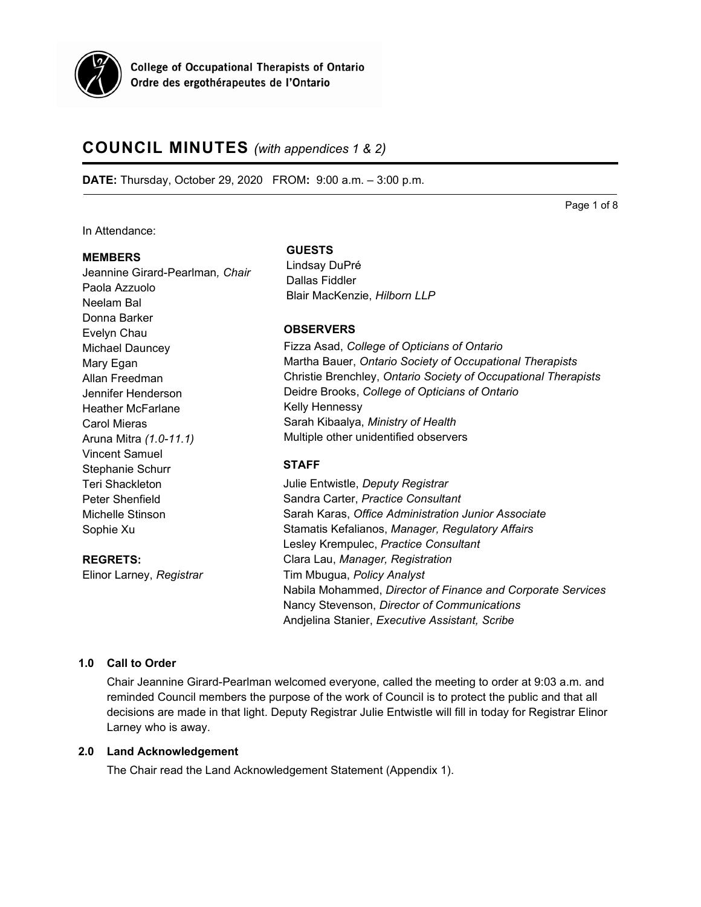

# **COUNCIL MINUTES** *(with appendices 1 & 2)*

**DATE:** Thursday, October 29, 2020 FROM**:** 9:00 a.m. – 3:00 p.m.

Page 1 of 8

In Attendance:

#### **MEMBERS**

Jeannine Girard-Pearlman*, Chair* Paola Azzuolo Neelam Bal Donna Barker Evelyn Chau Michael Dauncey Mary Egan Allan Freedman Jennifer Henderson Heather McFarlane Carol Mieras Aruna Mitra *(1.0-11.1)* Vincent Samuel Stephanie Schurr Teri Shackleton Peter Shenfield Michelle Stinson Sophie Xu

**REGRETS:** Elinor Larney, *Registrar*

#### **GUESTS**

Lindsay DuPré Dallas Fiddler Blair MacKenzie, *Hilborn LLP*

# **OBSERVERS**

Fizza Asad, *College of Opticians of Ontario* Martha Bauer, *Ontario Society of Occupational Therapists* Christie Brenchley, *Ontario Society of Occupational Therapists* Deidre Brooks, *College of Opticians of Ontario* Kelly Hennessy Sarah Kibaalya, *Ministry of Health* Multiple other unidentified observers

### **STAFF**

Julie Entwistle, *Deputy Registrar* Sandra Carter, *Practice Consultant* Sarah Karas, *Office Administration Junior Associate* Stamatis Kefalianos, *Manager, Regulatory Affairs* Lesley Krempulec, *Practice Consultant* Clara Lau, *Manager, Registration* Tim Mbugua, *Policy Analyst* Nabila Mohammed, *Director of Finance and Corporate Services* Nancy Stevenson, *Director of Communications* Andjelina Stanier, *Executive Assistant, Scribe*

# **1.0 Call to Order**

Chair Jeannine Girard-Pearlman welcomed everyone, called the meeting to order at 9:03 a.m. and reminded Council members the purpose of the work of Council is to protect the public and that all decisions are made in that light. Deputy Registrar Julie Entwistle will fill in today for Registrar Elinor Larney who is away.

# **2.0 Land Acknowledgement**

The Chair read the Land Acknowledgement Statement (Appendix 1).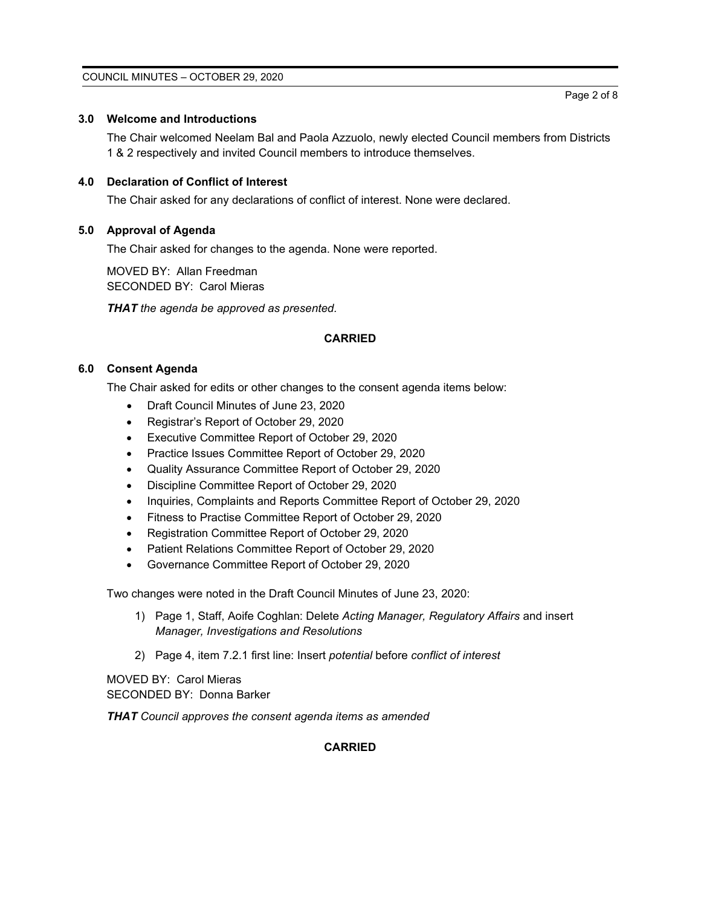### **3.0 Welcome and Introductions**

The Chair welcomed Neelam Bal and Paola Azzuolo, newly elected Council members from Districts 1 & 2 respectively and invited Council members to introduce themselves.

# **4.0 Declaration of Conflict of Interest**

The Chair asked for any declarations of conflict of interest. None were declared.

# **5.0 Approval of Agenda**

The Chair asked for changes to the agenda. None were reported.

MOVED BY: Allan Freedman SECONDED BY: Carol Mieras

*THAT the agenda be approved as presented.*

### **CARRIED**

### **6.0 Consent Agenda**

The Chair asked for edits or other changes to the consent agenda items below:

- Draft Council Minutes of June 23, 2020
- Registrar's Report of October 29, 2020
- Executive Committee Report of October 29, 2020
- Practice Issues Committee Report of October 29, 2020
- Quality Assurance Committee Report of October 29, 2020
- Discipline Committee Report of October 29, 2020
- Inquiries, Complaints and Reports Committee Report of October 29, 2020
- Fitness to Practise Committee Report of October 29, 2020
- Registration Committee Report of October 29, 2020
- Patient Relations Committee Report of October 29, 2020
- Governance Committee Report of October 29, 2020

Two changes were noted in the Draft Council Minutes of June 23, 2020:

- 1) Page 1, Staff, Aoife Coghlan: Delete *Acting Manager, Regulatory Affairs* and insert *Manager, Investigations and Resolutions*
- 2) Page 4, item 7.2.1 first line: Insert *potential* before *conflict of interest*

MOVED BY: Carol Mieras SECONDED BY: Donna Barker

*THAT Council approves the consent agenda items as amended*

### **CARRIED**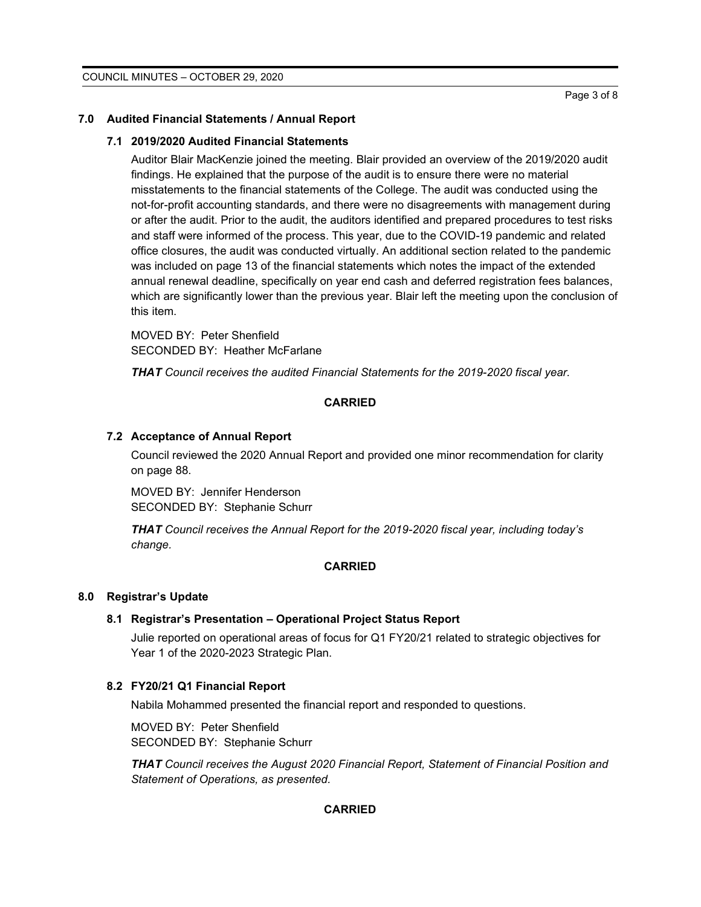#### **7.0 Audited Financial Statements / Annual Report**

#### **7.1 2019/2020 Audited Financial Statements**

Auditor Blair MacKenzie joined the meeting. Blair provided an overview of the 2019/2020 audit findings. He explained that the purpose of the audit is to ensure there were no material misstatements to the financial statements of the College. The audit was conducted using the not-for-profit accounting standards, and there were no disagreements with management during or after the audit. Prior to the audit, the auditors identified and prepared procedures to test risks and staff were informed of the process. This year, due to the COVID-19 pandemic and related office closures, the audit was conducted virtually. An additional section related to the pandemic was included on page 13 of the financial statements which notes the impact of the extended annual renewal deadline, specifically on year end cash and deferred registration fees balances, which are significantly lower than the previous year. Blair left the meeting upon the conclusion of this item.

MOVED BY: Peter Shenfield SECONDED BY: Heather McFarlane

*THAT Council receives the audited Financial Statements for the 2019-2020 fiscal year.*

### **CARRIED**

#### **7.2 Acceptance of Annual Report**

Council reviewed the 2020 Annual Report and provided one minor recommendation for clarity on page 88.

MOVED BY: Jennifer Henderson SECONDED BY: Stephanie Schurr

*THAT Council receives the Annual Report for the 2019-2020 fiscal year, including today's change.*

# **CARRIED**

### **8.0 Registrar's Update**

#### **8.1 Registrar's Presentation – Operational Project Status Report**

Julie reported on operational areas of focus for Q1 FY20/21 related to strategic objectives for Year 1 of the 2020-2023 Strategic Plan.

# **8.2 FY20/21 Q1 Financial Report**

Nabila Mohammed presented the financial report and responded to questions.

MOVED BY: Peter Shenfield SECONDED BY: Stephanie Schurr

*THAT Council receives the August 2020 Financial Report, Statement of Financial Position and Statement of Operations, as presented.*

#### **CARRIED**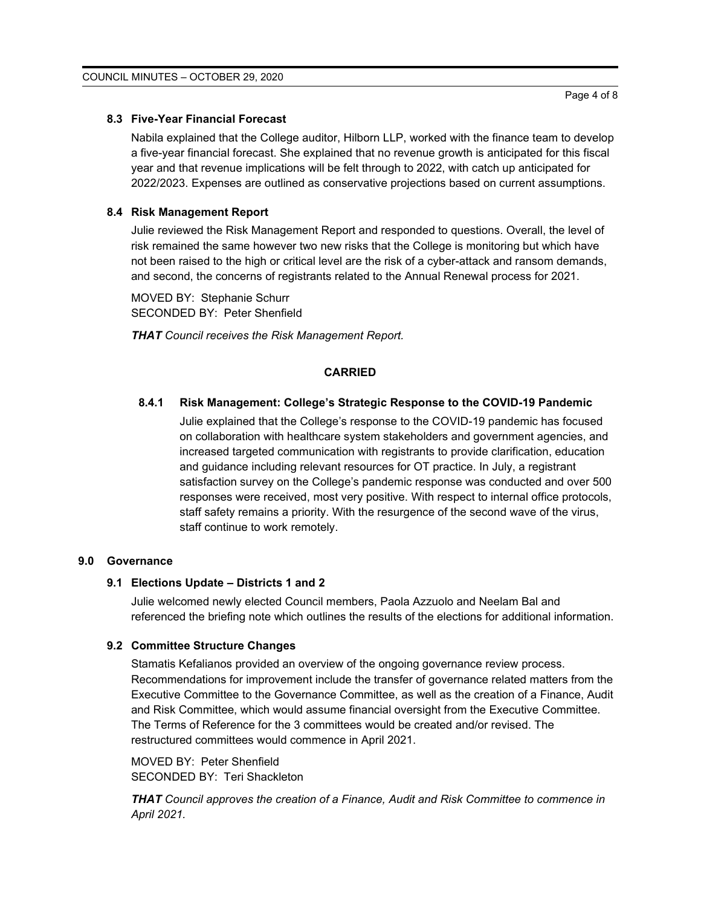# **8.3 Five-Year Financial Forecast**

Nabila explained that the College auditor, Hilborn LLP, worked with the finance team to develop a five-year financial forecast. She explained that no revenue growth is anticipated for this fiscal year and that revenue implications will be felt through to 2022, with catch up anticipated for 2022/2023. Expenses are outlined as conservative projections based on current assumptions.

# **8.4 Risk Management Report**

Julie reviewed the Risk Management Report and responded to questions. Overall, the level of risk remained the same however two new risks that the College is monitoring but which have not been raised to the high or critical level are the risk of a cyber-attack and ransom demands, and second, the concerns of registrants related to the Annual Renewal process for 2021.

MOVED BY: Stephanie Schurr SECONDED BY: Peter Shenfield

*THAT Council receives the Risk Management Report.*

# **CARRIED**

# **8.4.1 Risk Management: College's Strategic Response to the COVID-19 Pandemic**

Julie explained that the College's response to the COVID-19 pandemic has focused on collaboration with healthcare system stakeholders and government agencies, and increased targeted communication with registrants to provide clarification, education and guidance including relevant resources for OT practice. In July, a registrant satisfaction survey on the College's pandemic response was conducted and over 500 responses were received, most very positive. With respect to internal office protocols, staff safety remains a priority. With the resurgence of the second wave of the virus, staff continue to work remotely.

# **9.0 Governance**

### **9.1 Elections Update – Districts 1 and 2**

Julie welcomed newly elected Council members, Paola Azzuolo and Neelam Bal and referenced the briefing note which outlines the results of the elections for additional information.

### **9.2 Committee Structure Changes**

Stamatis Kefalianos provided an overview of the ongoing governance review process. Recommendations for improvement include the transfer of governance related matters from the Executive Committee to the Governance Committee, as well as the creation of a Finance, Audit and Risk Committee, which would assume financial oversight from the Executive Committee. The Terms of Reference for the 3 committees would be created and/or revised. The restructured committees would commence in April 2021.

MOVED BY: Peter Shenfield SECONDED BY: Teri Shackleton

*THAT Council approves the creation of a Finance, Audit and Risk Committee to commence in April 2021.*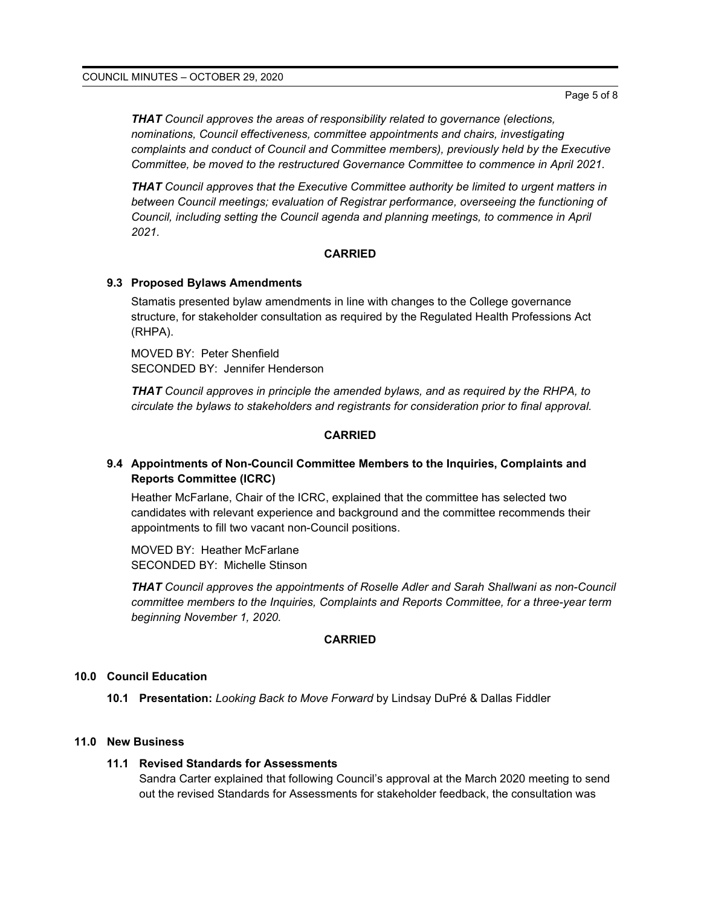*THAT Council approves the areas of responsibility related to governance (elections, nominations, Council effectiveness, committee appointments and chairs, investigating complaints and conduct of Council and Committee members), previously held by the Executive Committee, be moved to the restructured Governance Committee to commence in April 2021.*

*THAT Council approves that the Executive Committee authority be limited to urgent matters in between Council meetings; evaluation of Registrar performance, overseeing the functioning of Council, including setting the Council agenda and planning meetings, to commence in April 2021.*

#### **CARRIED**

#### **9.3 Proposed Bylaws Amendments**

Stamatis presented bylaw amendments in line with changes to the College governance structure, for stakeholder consultation as required by the Regulated Health Professions Act (RHPA).

MOVED BY: Peter Shenfield SECONDED BY: Jennifer Henderson

*THAT Council approves in principle the amended bylaws, and as required by the RHPA, to circulate the bylaws to stakeholders and registrants for consideration prior to final approval.*

#### **CARRIED**

# **9.4 Appointments of Non-Council Committee Members to the Inquiries, Complaints and Reports Committee (ICRC)**

Heather McFarlane, Chair of the ICRC, explained that the committee has selected two candidates with relevant experience and background and the committee recommends their appointments to fill two vacant non-Council positions.

MOVED BY: Heather McFarlane SECONDED BY: Michelle Stinson

*THAT Council approves the appointments of Roselle Adler and Sarah Shallwani as non-Council committee members to the Inquiries, Complaints and Reports Committee, for a three-year term beginning November 1, 2020.*

#### **CARRIED**

#### **10.0 Council Education**

**10.1 Presentation:** *Looking Back to Move Forward* by Lindsay DuPré & Dallas Fiddler

#### **11.0 New Business**

#### **11.1 Revised Standards for Assessments**

Sandra Carter explained that following Council's approval at the March 2020 meeting to send out the revised Standards for Assessments for stakeholder feedback, the consultation was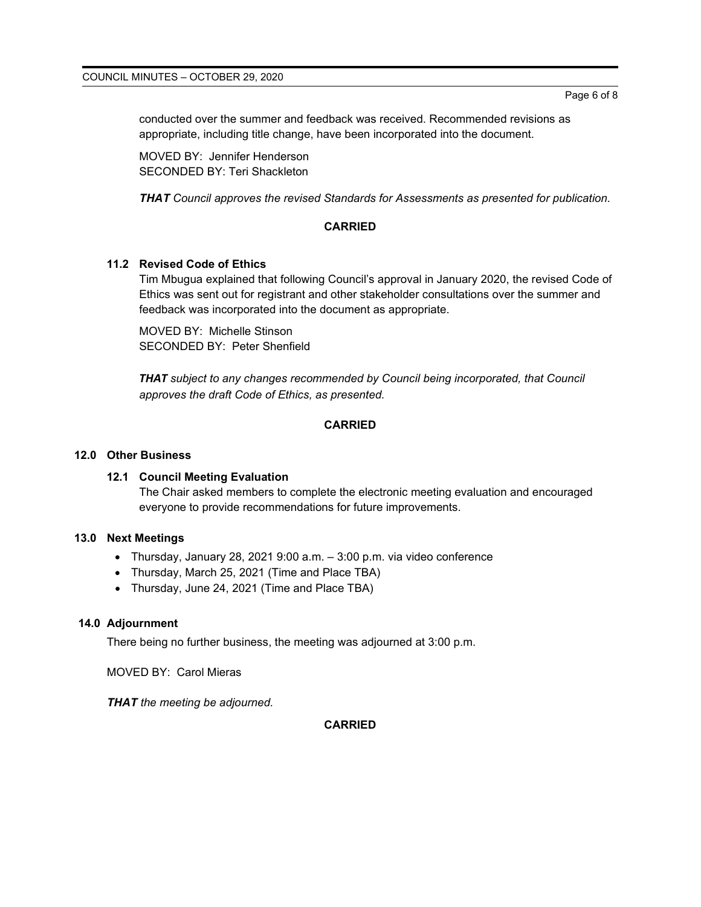conducted over the summer and feedback was received. Recommended revisions as appropriate, including title change, have been incorporated into the document.

MOVED BY: Jennifer Henderson SECONDED BY: Teri Shackleton

*THAT Council approves the revised Standards for Assessments as presented for publication.*

### **CARRIED**

# **11.2 Revised Code of Ethics**

Tim Mbugua explained that following Council's approval in January 2020, the revised Code of Ethics was sent out for registrant and other stakeholder consultations over the summer and feedback was incorporated into the document as appropriate.

MOVED BY: Michelle Stinson SECONDED BY: Peter Shenfield

*THAT subject to any changes recommended by Council being incorporated, that Council approves the draft Code of Ethics, as presented.*

# **CARRIED**

### **12.0 Other Business**

#### **12.1 Council Meeting Evaluation**

The Chair asked members to complete the electronic meeting evaluation and encouraged everyone to provide recommendations for future improvements.

#### **13.0 Next Meetings**

- Thursday, January 28, 2021 9:00 a.m. 3:00 p.m. via video conference
- Thursday, March 25, 2021 (Time and Place TBA)
- Thursday, June 24, 2021 (Time and Place TBA)

# **14.0 Adjournment**

There being no further business, the meeting was adjourned at 3:00 p.m.

MOVED BY: Carol Mieras

*THAT the meeting be adjourned.*

# **CARRIED**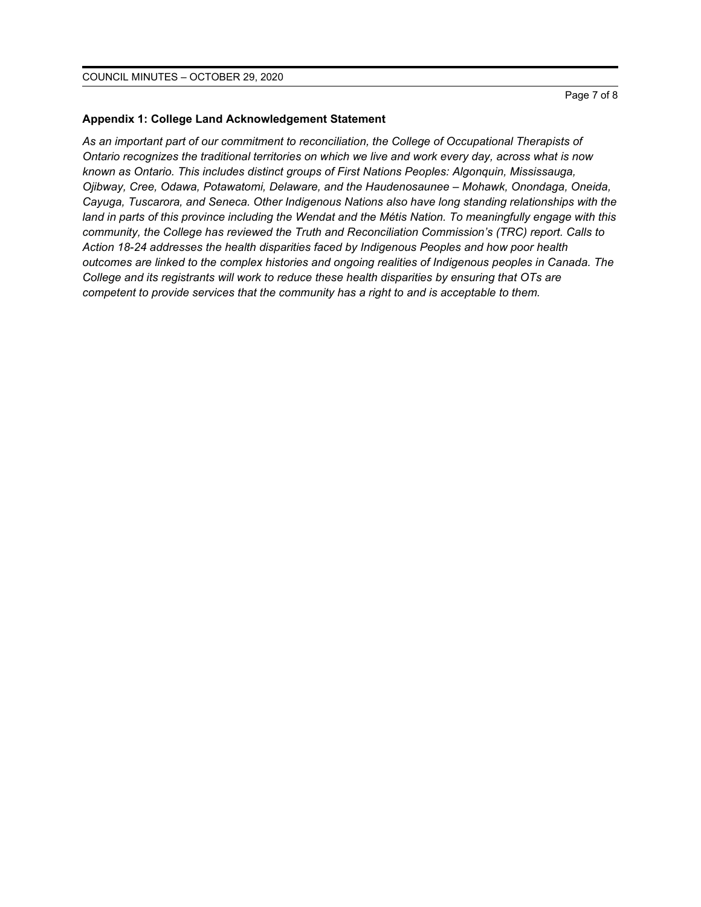### **Appendix 1: College Land Acknowledgement Statement**

*As an important part of our commitment to reconciliation, the College of Occupational Therapists of Ontario recognizes the traditional territories on which we live and work every day, across what is now known as Ontario. This includes distinct groups of First Nations Peoples: Algonquin, Mississauga, Ojibway, Cree, Odawa, Potawatomi, Delaware, and the Haudenosaunee – Mohawk, Onondaga, Oneida, Cayuga, Tuscarora, and Seneca. Other Indigenous Nations also have long standing relationships with the land in parts of this province including the Wendat and the Métis Nation. To meaningfully engage with this community, the College has reviewed the Truth and Reconciliation Commission's (TRC) report. Calls to Action 18-24 addresses the health disparities faced by Indigenous Peoples and how poor health outcomes are linked to the complex histories and ongoing realities of Indigenous peoples in Canada. The College and its registrants will work to reduce these health disparities by ensuring that OTs are competent to provide services that the community has a right to and is acceptable to them.*